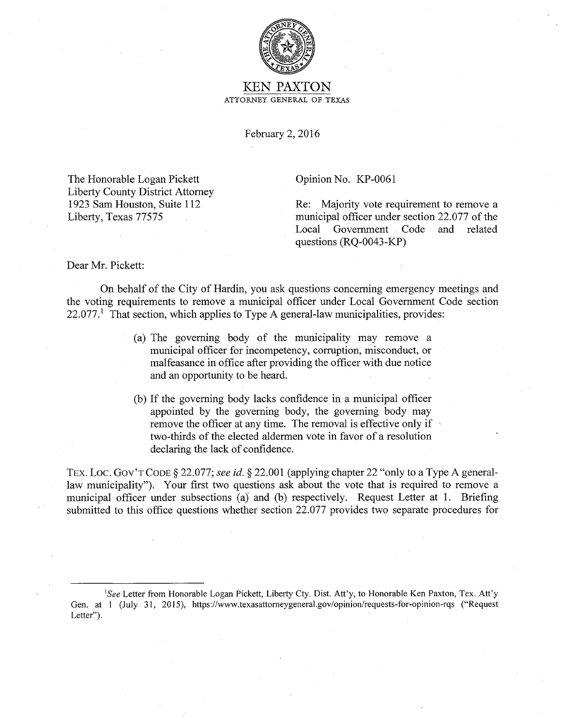

## KEN PAXTON ATTORNEY GENERAL OF TEXAS

February 2, 2016

The Honorable Logan Pickett Liberty County District Attorney 1923 Sam Houston, Suite 112 Liberty, Texas 77575

Opinion No. KP-0061

Re: Majority vote requirement to remove a municipal officer under section 22.077 of the<br>Local Government Code and related Local Government Code questions (RQ-0043-KP)

Dear Mr. Pickett:

On behalf of the City of Hardin, you ask questions concerning emergency meetings and the voting requirements to remove a municipal officer under Local Government Code section  $22.077<sup>1</sup>$  That section, which applies to Type A general-law municipalities, provides:

- (a) The governing body of the municipality may remove a municipal officer for incompetency, corruption, misconduct, or malfeasance in office after providing the officer with due notice and an opportunity to be heard.
- (b) If the governing body lacks confidence in a municipal officer appointed by the governing body, the governing body may remove the officer at any time. The removal is effective only if two-thirds of the elected aldermen vote in favor of a resolution declaring the lack of confidence.

TEX. LOC. GOV'T CODE § 22.077; *see id.* § 22.001 (applying chapter 22 "only to a Type A generallaw municipality"). Your first two questions ask about the vote that is required to remove a municipal officer under subsections (a) and (b) respectively. Request Letter at 1. Briefing submitted to this office questions whether section 22.077 provides two separate procedures for

<sup>&</sup>lt;sup>1</sup>See Letter from Honorable Logan Pickett, Liberty Cty. Dist. Att'y, to Honorable Ken Paxton, Tex. Att'y Gen. at I (July 31, 2015), https://www.texasattomeygeneral.gov/opinion/requests-for-opinion-rqs ("Request Letter").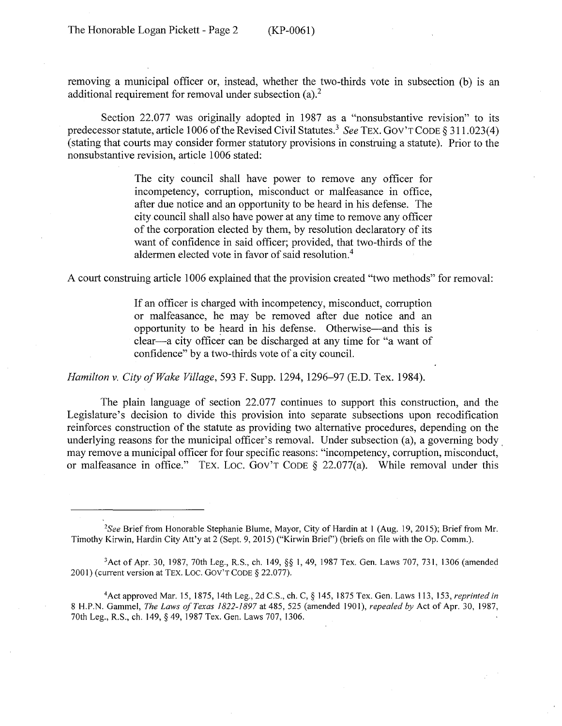removing a municipal officer or, instead, whether the two-thirds vote in subsection (b) is an additional requirement for removal under subsection  $(a)$ .<sup>2</sup>

Section 22.077 was originally adopted in 1987 as a "nonsubstantive revision" to its predecessor statute, article 1006 of the Revised Civil Statutes.<sup>3</sup> *See* TEX. GOV'T CODE § 311.023(4) (stating that courts may consider former statutory provisions in construing a statute). Prior to the nonsubstantive revision, article 1006 stated:

> The city council shall have power to remove any officer for incompetency, corruption, misconduct or malfeasance in office, after due notice and an opportunity to be heard in his defense. The city council shall also have power at any time to remove any officer of the corporation elected by them, by resolution declaratory of its want of confidence in said officer; provided, that two-thirds of the aldermen elected vote in favor of said resolution.4

A court construing article 1006 explained that the provision created "two methods" for removal:

If an officer is charged with incompetency, misconduct, corruption or malfeasance, he may be removed after due notice and an opportunity to be heard in his defense. Otherwise-and this is clear-a city officer can be discharged at any time for "a want of confidence" by a two-thirds vote of a city council.

*Hamilton v. City of Wake Village,* 593 F. Supp. 1294, 1296-97 (E.D. Tex. 1984).

The plain language of section 22.077 continues to support this construction, and the Legislature's decision to divide this provision into separate subsections upon recodification reinforces construction of the statute as providing two alternative procedures, depending on the underlying reasons for the municipal officer's removal. Under subsection (a), a governing body, may remove a municipal officer for four specific reasons: "incompetency, corruption, misconduct, or malfeasance in office." TEX. LOC. GOV'T CODE  $\S$  22.077(a). While removal under this

*2 See* Brief from Honorable Stephanie Blume, Mayor, City of Hardin at I (Aug. 19, 2015); Brief from Mr. Timothy Kirwin, Hardin City Att'y at 2 (Sept. 9, 2015) ("Kirwin Brief') (briefs on file with the Op. Comm.).

3Act of Apr. 30, 1987, 70th Leg., R.S., ch. 149, §§I, 49, 1987 Tex. Gen. Laws 707, 731, 1306 (amended 2001) (current version at TEX. LOC. GOV'T CODE § 22.077).

4Act approved Mar. 15, 1875, 14th Leg., 2d C.S., ch. C, § 145, 1875 Tex. Gen. Laws 113, 153, *reprinted in*  8 H.P.N. Gammel, *The laws of Texas 1822-1897* at 485, 525 (amended 1901), *repealed by* Act of Apr. 30, 1987, 70th Leg., R.S., ch. 149, § 49, 1987 Tex. Gen. Laws 707, 1306.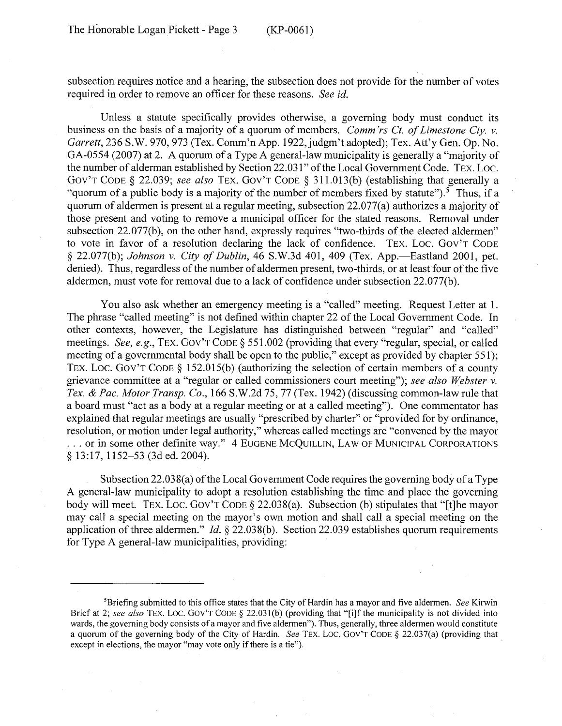subsection requires notice and a hearing, the subsection does not provide for the number of votes required in order to remove an officer for these reasons. *See id.* 

Unless a statute specifically provides otherwise, a governing body must conduct its business on the basis of a majority of a quorum of members. *Comm 'rs Ct. of Limestone Cty. v.*  Garrett, 236 S.W. 970, 973 (Tex. Comm'n App. 1922, judgm't adopted); Tex. Att'y Gen. Op. No. GA-0554 (2007) at 2. A quorum of a Type A general-law municipality is generally a "majority of the number of alderman established by Section 22.031" of the Local Government Code. TEX. Loe. Gov'T CODE § 22.039; *see also* TEX. Gov'T CODE § 31 l.013(b) (establishing that generally a "quorum of a public body is a majority of the number of members fixed by statute").<sup>5</sup> Thus, if a quorum of aldermen is present at a regular meeting, subsection 22.077(a) authorizes a majority of those present and voting to remove a municipal officer for the stated reasons. Removal under subsection 22.077(b), on the other hand, expressly requires "two-thirds of the elected aldermen" to vote in favor of a resolution declaring the lack of confidence. TEX. LOC. GOV'T CODE § 22.077(b); *Johnson v. City of Dublin*, 46 S.W.3d 401, 409 (Tex. App.—Eastland 2001, pet. denied). Thus, regardless of the number of aldermen present, two-thirds, or at least four of the five aldermen, must vote for removal due to a lack of confidence under subsection 22.077(b).

You also ask whether an emergency meeting is a "called" meeting. Request Letter at 1. The phrase "called meeting" is not defined within chapter 22 of the Local Government Code. In other contexts, however, the Legislature has distinguished between "regular" and "called" meetings. *See, e.g.,* TEX. Gov'T CODE § 551.002 (providing that every "regular, special, or called meeting of a governmental body shall be open to the public," except as provided by chapter 551); TEX. LOC. GOV'T CODE § 152.015(b) (authorizing the selection of certain members of a county grievance committee at a "regular or called commissioners court meeting"); *see also Webster v. Tex.* & *Pac. Motor Transp. Co.,* 166 S.W.2d 75, 77 (Tex. 1942) (discussing common-law rule that a board must "act as a body at a regular meeting or at a called meeting"). One commentator has explained that regular meetings are usually "prescribed by charter" or "provided for by ordinance, resolution, or motion under legal authority,'' whereas called meetings are "convened by the mayor ... or in some other definite way." 4 EUGENE MCQUILLIN, LAW OF MUNICIPAL CORPORATIONS § 13:17, 1152–53 (3d ed. 2004).

Subsection 22.038(a) of the Local Government Code requires the governing body of a Type A general-law municipality to adopt a resolution establishing the time and place the governing body will meet. TEX. LOC. GOV'T CODE  $\S$  22.038(a). Subsection (b) stipulates that "[t]he mayor may call a special meeting on the mayor's own motion and shall call a special meeting on the application of three aldermen." *Id.* § 22.038(b). Section 22.039 establishes quorum requirements for Type A general-law municipalities, providing:

<sup>5</sup>Briefing submitted to this office states that the City of Hardin has a mayor and five aldermen. *See* Kirwin Brief at 2; see also TEX. LOC. GOV'T CODE § 22.031(b) (providing that "[i]f the municipality is not divided into wards, the governing body consists of a mayor and five aldermen"). Thus, generally, three aldermen would constitute a quorum of the governing body of the City of Hardin. *See* TEX. Loe. GOV'T CODE *§* 22.037(a) (providing that except in elections, the mayor "may vote only if there is a tie").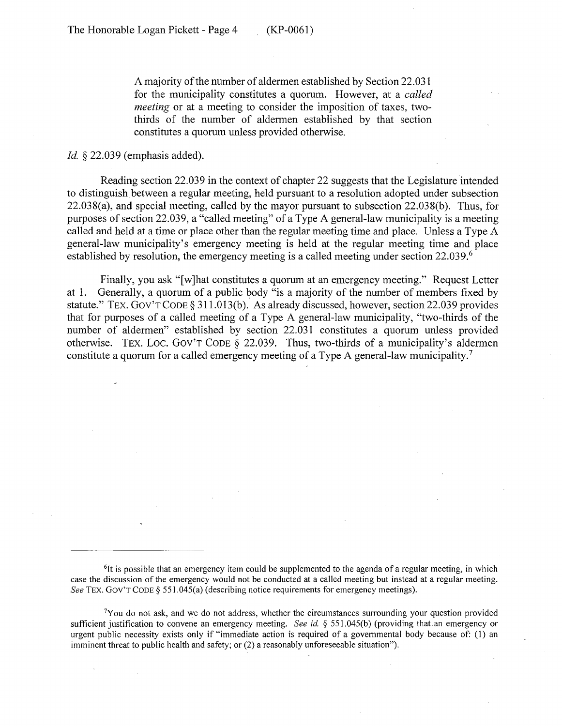A majority of the number of aldermen established by Section 22.031 for the municipality constitutes a quorum. However, at a *called meeting* or at a meeting to consider the imposition of taxes, twothirds of the number of aldermen established by that section constitutes a quorum unless provided otherwise.

*Id.* § 22.039 (emphasis added).

Reading section 22.039 in the context of chapter 22 suggests that the Legislature intended to distinguish between a regular meeting, held pursuant to a resolution adopted under subsection 22.038(a), and special meeting, called by the mayor pursuant to subsection 22.038(b). Thus, for purposes of section 22.039, a "called meeting" of a Type A general-law municipality is a meeting called and held at a time or place other than the regular meeting time and place. Unless a Type A general-law municipality's emergency meeting is held at the regular meeting time and place established by resolution, the emergency meeting is a called meeting under section 22.039.<sup>6</sup>

Finally, you ask "[w]hat constitutes a quorum at an emergency meeting." Request Letter at 1. Generally, a quorum of a public body "is a majority of the number of members fixed by statute." TEX. Gov'T CODE§ 311.013(b). As already discussed, however, section 22.039 provides that for purposes of a called meeting of a Type A general-law municipality, "two-thirds of the number of aldermen" established by section 22.031 constitutes a quorum unless provided otherwise. TEX. LOC. GOV'T CODE § 22.039. Thus, two-thirds of a municipality's aldermen constitute a quorum for a called emergency meeting of a Type A general-law municipality.<sup>7</sup>

<sup>&</sup>lt;sup>6</sup>It is possible that an emergency item could be supplemented to the agenda of a regular meeting, in which case the discussion of the emergency would not be conducted at a called meeting but instead at a regular meeting. See TEX. GOV'T CODE § 551.045(a) (describing notice requirements for emergency meetings).

 $<sup>7</sup>$  You do not ask, and we do not address, whether the circumstances surrounding your question provided</sup> sufficient justification to convene an emergency meeting. *See id.* § 551.045(b) (providing that .an emergency or urgent public necessity exists only if "immediate action is required of a governmental body because of: ( 1) an imminent threat to public health and safety; or (2) a reasonably unforeseeable situation").